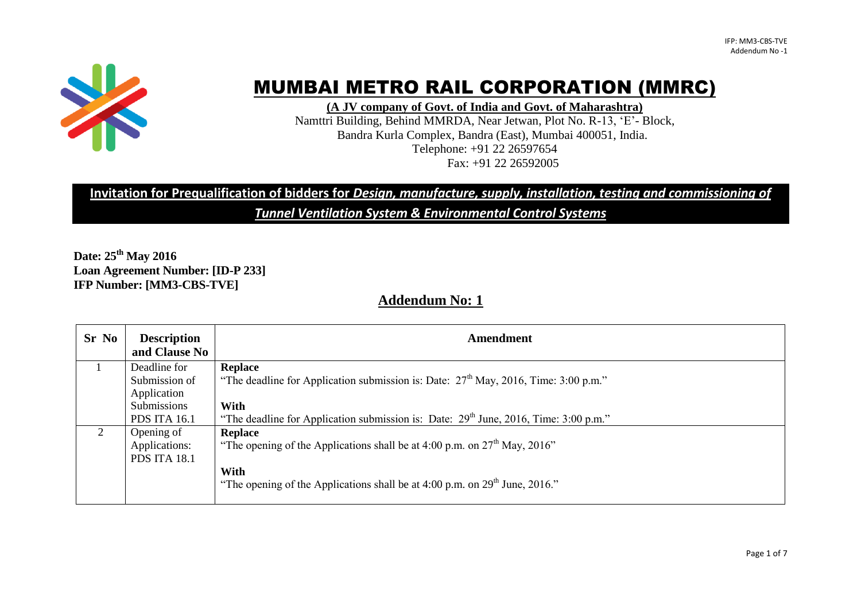

# MUMBAI METRO RAIL CORPORATION (MMRC)

**(A JV company of Govt. of India and Govt. of Maharashtra)**

Namttri Building, Behind MMRDA, Near Jetwan, Plot No. R-13, "E"- Block, Bandra Kurla Complex, Bandra (East), Mumbai 400051, India. Telephone: +91 22 26597654 Fax: +91 22 26592005

# **Invitation for Prequalification of bidders for** *Design, manufacture, supply, installation, testing and commissioning of*

*Tunnel Ventilation System & Environmental Control Systems*

**Date: 25 th May 2016 Loan Agreement Number: [ID-P 233] IFP Number: [MM3-CBS-TVE]**

# **Addendum No: 1**

| Sr No | <b>Description</b><br>and Clause No | <b>Amendment</b>                                                                          |
|-------|-------------------------------------|-------------------------------------------------------------------------------------------|
|       | Deadline for                        | <b>Replace</b>                                                                            |
|       | Submission of                       | "The deadline for Application submission is: Date: $27th$ May, 2016, Time: 3:00 p.m."     |
|       | Application                         |                                                                                           |
|       | Submissions                         | With                                                                                      |
|       | <b>PDS ITA 16.1</b>                 | "The deadline for Application submission is: Date: $29^{th}$ June, 2016, Time: 3:00 p.m." |
| 2     | Opening of                          | <b>Replace</b>                                                                            |
|       | Applications:                       | "The opening of the Applications shall be at 4:00 p.m. on $27th$ May, 2016"               |
|       | <b>PDS ITA 18.1</b>                 |                                                                                           |
|       |                                     | With                                                                                      |
|       |                                     | "The opening of the Applications shall be at 4:00 p.m. on $29th$ June, 2016."             |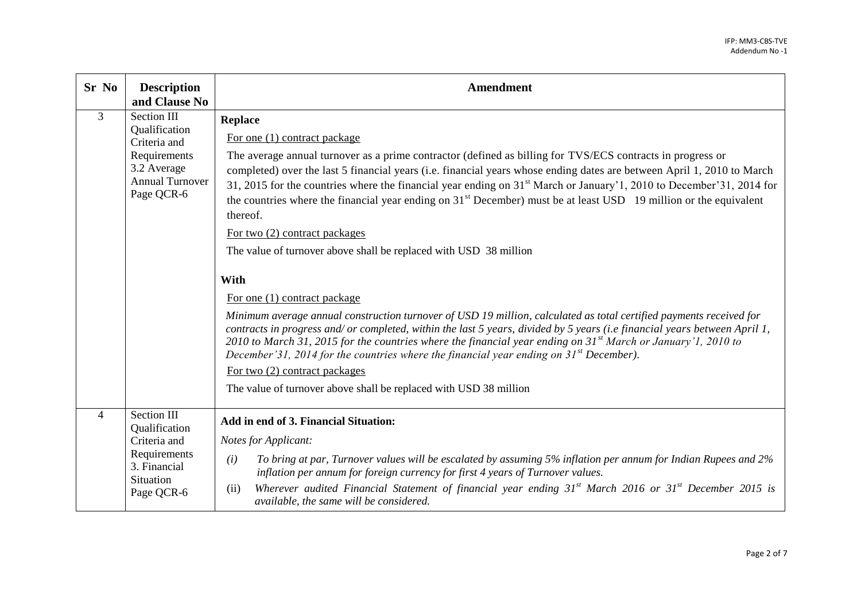| Sr No          | <b>Description</b><br>and Clause No                                                                                 | <b>Amendment</b>                                                                                                                                                                                                                                                                                                                                                                                                                                                                                                                                                                                                                                                                                                                                                                                                                                                                                                                                                                                                                                                                                                                                                                                                                                                                                      |
|----------------|---------------------------------------------------------------------------------------------------------------------|-------------------------------------------------------------------------------------------------------------------------------------------------------------------------------------------------------------------------------------------------------------------------------------------------------------------------------------------------------------------------------------------------------------------------------------------------------------------------------------------------------------------------------------------------------------------------------------------------------------------------------------------------------------------------------------------------------------------------------------------------------------------------------------------------------------------------------------------------------------------------------------------------------------------------------------------------------------------------------------------------------------------------------------------------------------------------------------------------------------------------------------------------------------------------------------------------------------------------------------------------------------------------------------------------------|
| 3              | Section III<br>Qualification<br>Criteria and<br>Requirements<br>3.2 Average<br><b>Annual Turnover</b><br>Page QCR-6 | <b>Replace</b><br>For one (1) contract package<br>The average annual turnover as a prime contractor (defined as billing for TVS/ECS contracts in progress or<br>completed) over the last 5 financial years (i.e. financial years whose ending dates are between April 1, 2010 to March<br>31, 2015 for the countries where the financial year ending on 31 <sup>st</sup> March or January'1, 2010 to December'31, 2014 for<br>the countries where the financial year ending on 31 <sup>st</sup> December) must be at least USD 19 million or the equivalent<br>thereof.<br>For two (2) contract packages<br>The value of turnover above shall be replaced with USD 38 million<br>With<br>For one (1) contract package<br>Minimum average annual construction turnover of USD 19 million, calculated as total certified payments received for<br>contracts in progress and/or completed, within the last 5 years, divided by 5 years (i.e financial years between April 1,<br>2010 to March 31, 2015 for the countries where the financial year ending on $31^{st}$ March or January'1, 2010 to<br>December'31, 2014 for the countries where the financial year ending on $31^{st}$ December).<br>For two $(2)$ contract packages<br>The value of turnover above shall be replaced with USD 38 million |
| $\overline{4}$ | Section III<br>Qualification<br>Criteria and<br>Requirements<br>3. Financial<br>Situation<br>Page QCR-6             | Add in end of 3. Financial Situation:<br><b>Notes for Applicant:</b><br>To bring at par, Turnover values will be escalated by assuming 5% inflation per annum for Indian Rupees and 2%<br>(i)<br>inflation per annum for foreign currency for first 4 years of Turnover values.<br>Wherever audited Financial Statement of financial year ending $31^{st}$ March 2016 or $31^{st}$ December 2015 is<br>(ii)<br>available, the same will be considered.                                                                                                                                                                                                                                                                                                                                                                                                                                                                                                                                                                                                                                                                                                                                                                                                                                                |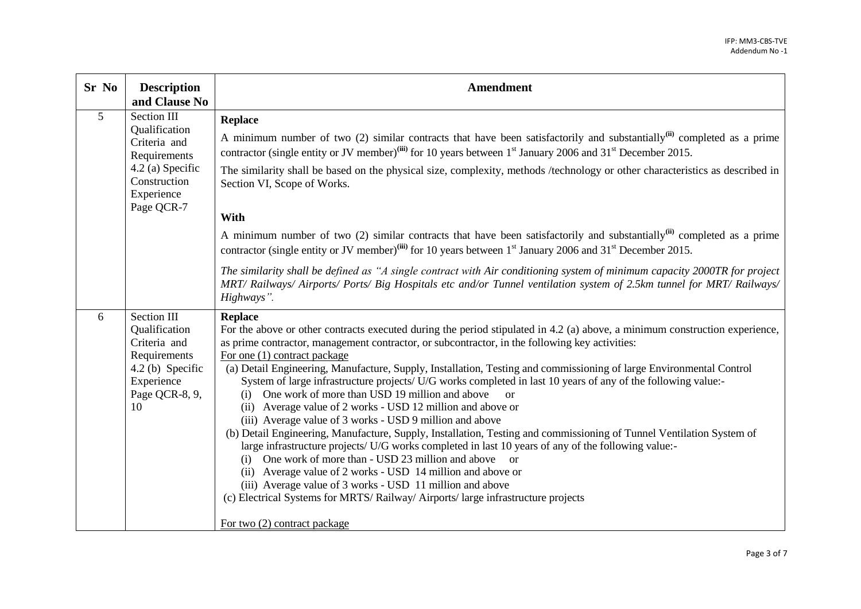| Sr No          | <b>Description</b><br>and Clause No                                                                                          | Amendment                                                                                                                                                                                                                                                                                                                                                                                                                                                                                                                                                                                                                                                                                                                                                                                                                                                                                                                                                                                                                                                                                                                                                                                                                                                                    |
|----------------|------------------------------------------------------------------------------------------------------------------------------|------------------------------------------------------------------------------------------------------------------------------------------------------------------------------------------------------------------------------------------------------------------------------------------------------------------------------------------------------------------------------------------------------------------------------------------------------------------------------------------------------------------------------------------------------------------------------------------------------------------------------------------------------------------------------------------------------------------------------------------------------------------------------------------------------------------------------------------------------------------------------------------------------------------------------------------------------------------------------------------------------------------------------------------------------------------------------------------------------------------------------------------------------------------------------------------------------------------------------------------------------------------------------|
| $\overline{5}$ | Section III<br>Qualification<br>Criteria and<br>Requirements<br>4.2 (a) Specific<br>Construction<br>Experience<br>Page QCR-7 | <b>Replace</b><br>A minimum number of two (2) similar contracts that have been satisfactorily and substantially <sup>(ii)</sup> completed as a prime<br>contractor (single entity or JV member) <sup>(iii)</sup> for 10 years between 1 <sup>st</sup> January 2006 and 31 <sup>st</sup> December 2015.<br>The similarity shall be based on the physical size, complexity, methods /technology or other characteristics as described in<br>Section VI, Scope of Works.<br>With<br>A minimum number of two (2) similar contracts that have been satisfactorily and substantially <sup>(ii)</sup> completed as a prime<br>contractor (single entity or JV member) <sup>(iii)</sup> for 10 years between 1 <sup>st</sup> January 2006 and 31 <sup>st</sup> December 2015.<br>The similarity shall be defined as "A single contract with Air conditioning system of minimum capacity 2000TR for project                                                                                                                                                                                                                                                                                                                                                                           |
|                |                                                                                                                              | MRT/ Railways/ Airports/ Ports/ Big Hospitals etc and/or Tunnel ventilation system of 2.5km tunnel for MRT/ Railways/<br>Highways".                                                                                                                                                                                                                                                                                                                                                                                                                                                                                                                                                                                                                                                                                                                                                                                                                                                                                                                                                                                                                                                                                                                                          |
| 6              | Section III<br>Qualification<br>Criteria and<br>Requirements<br>4.2 (b) Specific<br>Experience<br>Page QCR-8, 9,<br>10       | <b>Replace</b><br>For the above or other contracts executed during the period stipulated in 4.2 (a) above, a minimum construction experience,<br>as prime contractor, management contractor, or subcontractor, in the following key activities:<br>For one (1) contract package<br>(a) Detail Engineering, Manufacture, Supply, Installation, Testing and commissioning of large Environmental Control<br>System of large infrastructure projects/ U/G works completed in last 10 years of any of the following value:-<br>One work of more than USD 19 million and above<br>(i)<br>$\alpha$ <sup>r</sup><br>(ii) Average value of 2 works - USD 12 million and above or<br>(iii) Average value of 3 works - USD 9 million and above<br>(b) Detail Engineering, Manufacture, Supply, Installation, Testing and commissioning of Tunnel Ventilation System of<br>large infrastructure projects/ U/G works completed in last 10 years of any of the following value:-<br>(i) One work of more than - USD 23 million and above or<br>(ii) Average value of 2 works - USD 14 million and above or<br>(iii) Average value of 3 works - USD 11 million and above<br>(c) Electrical Systems for MRTS/Railway/Airports/large infrastructure projects<br>For two (2) contract package |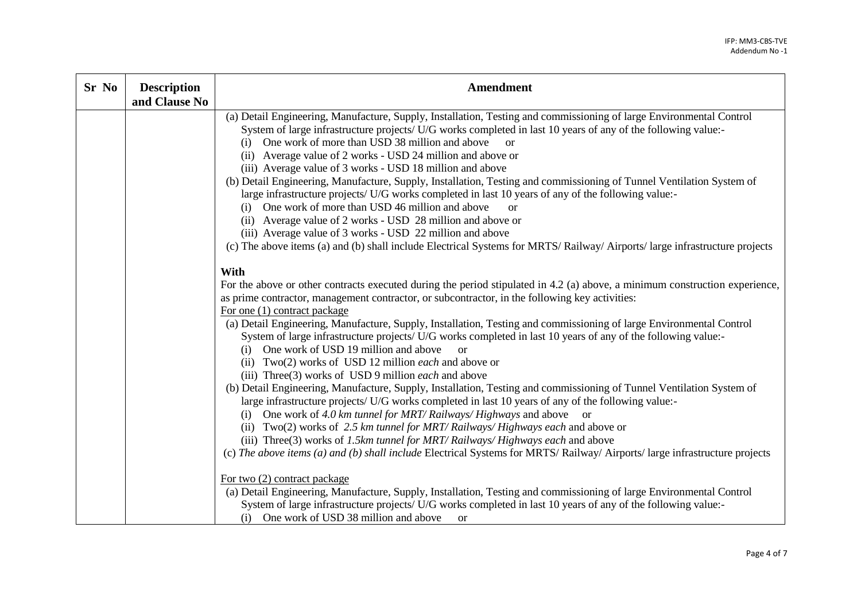| Sr No | <b>Description</b><br>and Clause No | <b>Amendment</b>                                                                                                                                                                                                                                                                                                                                                                                                                                                                                                                                                                                                                                                                                                                                                                                                                                                                                                                                                                                                                                                                                                                                                                                                                                                                                                                      |
|-------|-------------------------------------|---------------------------------------------------------------------------------------------------------------------------------------------------------------------------------------------------------------------------------------------------------------------------------------------------------------------------------------------------------------------------------------------------------------------------------------------------------------------------------------------------------------------------------------------------------------------------------------------------------------------------------------------------------------------------------------------------------------------------------------------------------------------------------------------------------------------------------------------------------------------------------------------------------------------------------------------------------------------------------------------------------------------------------------------------------------------------------------------------------------------------------------------------------------------------------------------------------------------------------------------------------------------------------------------------------------------------------------|
|       |                                     | (a) Detail Engineering, Manufacture, Supply, Installation, Testing and commissioning of large Environmental Control<br>System of large infrastructure projects/ U/G works completed in last 10 years of any of the following value:-<br>(i) One work of more than USD 38 million and above or<br>(ii) Average value of 2 works - USD 24 million and above or<br>(iii) Average value of 3 works - USD 18 million and above<br>(b) Detail Engineering, Manufacture, Supply, Installation, Testing and commissioning of Tunnel Ventilation System of<br>large infrastructure projects/ U/G works completed in last 10 years of any of the following value:-<br>(i) One work of more than USD 46 million and above<br>or<br>(ii) Average value of 2 works - USD 28 million and above or<br>(iii) Average value of 3 works - USD 22 million and above<br>(c) The above items (a) and (b) shall include Electrical Systems for MRTS/Railway/Airports/large infrastructure projects                                                                                                                                                                                                                                                                                                                                                          |
|       |                                     | With<br>For the above or other contracts executed during the period stipulated in 4.2 (a) above, a minimum construction experience,<br>as prime contractor, management contractor, or subcontractor, in the following key activities:<br>For one (1) contract package<br>(a) Detail Engineering, Manufacture, Supply, Installation, Testing and commissioning of large Environmental Control<br>System of large infrastructure projects/ U/G works completed in last 10 years of any of the following value:-<br>(i) One work of USD 19 million and above<br>$\alpha$<br>(ii) Two(2) works of USD 12 million each and above or<br>(iii) Three(3) works of USD 9 million <i>each</i> and above<br>(b) Detail Engineering, Manufacture, Supply, Installation, Testing and commissioning of Tunnel Ventilation System of<br>large infrastructure projects/ U/G works completed in last 10 years of any of the following value:-<br>(i) One work of 4.0 km tunnel for MRT/Railways/Highways and above or<br>(ii) Two(2) works of 2.5 km tunnel for MRT/Railways/Highways each and above or<br>(iii) Three(3) works of 1.5km tunnel for MRT/Railways/Highways each and above<br>(c) The above items (a) and (b) shall include Electrical Systems for MRTS/Railway/Airports/large infrastructure projects<br>For two $(2)$ contract package |
|       |                                     | (a) Detail Engineering, Manufacture, Supply, Installation, Testing and commissioning of large Environmental Control<br>System of large infrastructure projects/ U/G works completed in last 10 years of any of the following value:-<br>(i) One work of USD 38 million and above<br><b>or</b>                                                                                                                                                                                                                                                                                                                                                                                                                                                                                                                                                                                                                                                                                                                                                                                                                                                                                                                                                                                                                                         |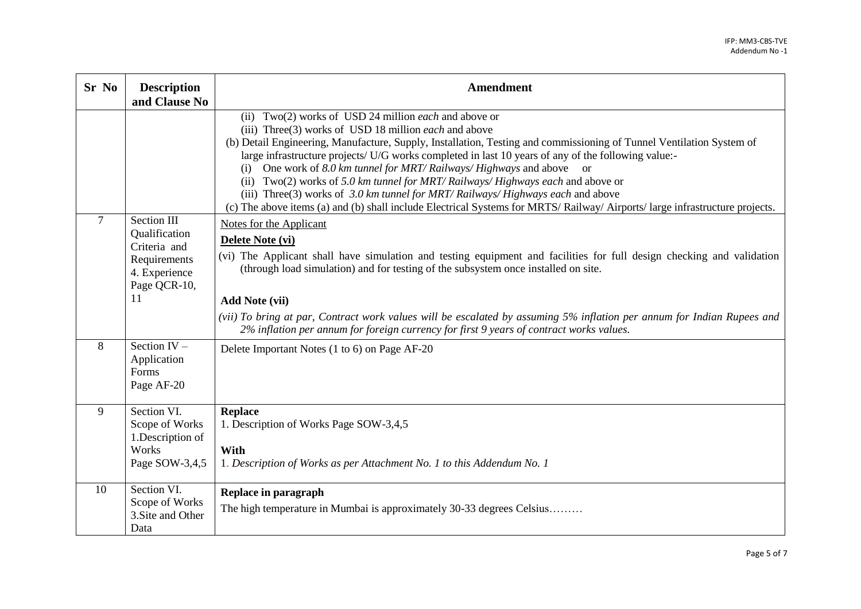| Sr No          | <b>Description</b><br>and Clause No                                                                 | <b>Amendment</b>                                                                                                                                                                                                                                                                                                                                                                                                                                                                                                                                                                                                                                                                                                                          |
|----------------|-----------------------------------------------------------------------------------------------------|-------------------------------------------------------------------------------------------------------------------------------------------------------------------------------------------------------------------------------------------------------------------------------------------------------------------------------------------------------------------------------------------------------------------------------------------------------------------------------------------------------------------------------------------------------------------------------------------------------------------------------------------------------------------------------------------------------------------------------------------|
|                |                                                                                                     | (ii) Two(2) works of USD 24 million <i>each</i> and above or<br>(iii) Three(3) works of USD 18 million <i>each</i> and above<br>(b) Detail Engineering, Manufacture, Supply, Installation, Testing and commissioning of Tunnel Ventilation System of<br>large infrastructure projects/ U/G works completed in last 10 years of any of the following value:-<br>One work of 8.0 km tunnel for MRT/Railways/Highways and above or<br>(i)<br>(ii) Two(2) works of 5.0 km tunnel for MRT/Railways/Highways each and above or<br>(iii) Three(3) works of $3.0$ km tunnel for MRT/Railways/Highways each and above<br>(c) The above items (a) and (b) shall include Electrical Systems for MRTS/Railway/Airports/large infrastructure projects. |
| $\overline{7}$ | Section III<br>Qualification<br>Criteria and<br>Requirements<br>4. Experience<br>Page QCR-10,<br>11 | <b>Notes for the Applicant</b><br>Delete Note (vi)<br>(vi) The Applicant shall have simulation and testing equipment and facilities for full design checking and validation<br>(through load simulation) and for testing of the subsystem once installed on site.<br><b>Add Note (vii)</b><br>(vii) To bring at par, Contract work values will be escalated by assuming 5% inflation per annum for Indian Rupees and<br>2% inflation per annum for foreign currency for first 9 years of contract works values.                                                                                                                                                                                                                           |
| 8              | Section $IV -$<br>Application<br>Forms<br>Page AF-20                                                | Delete Important Notes (1 to 6) on Page AF-20                                                                                                                                                                                                                                                                                                                                                                                                                                                                                                                                                                                                                                                                                             |
| 9              | Section VI.<br>Scope of Works<br>1.Description of<br>Works<br>Page SOW-3,4,5                        | <b>Replace</b><br>1. Description of Works Page SOW-3,4,5<br>With<br>1. Description of Works as per Attachment No. 1 to this Addendum No. 1                                                                                                                                                                                                                                                                                                                                                                                                                                                                                                                                                                                                |
| 10             | Section VI.<br>Scope of Works<br>3. Site and Other<br>Data                                          | Replace in paragraph<br>The high temperature in Mumbai is approximately 30-33 degrees Celsius                                                                                                                                                                                                                                                                                                                                                                                                                                                                                                                                                                                                                                             |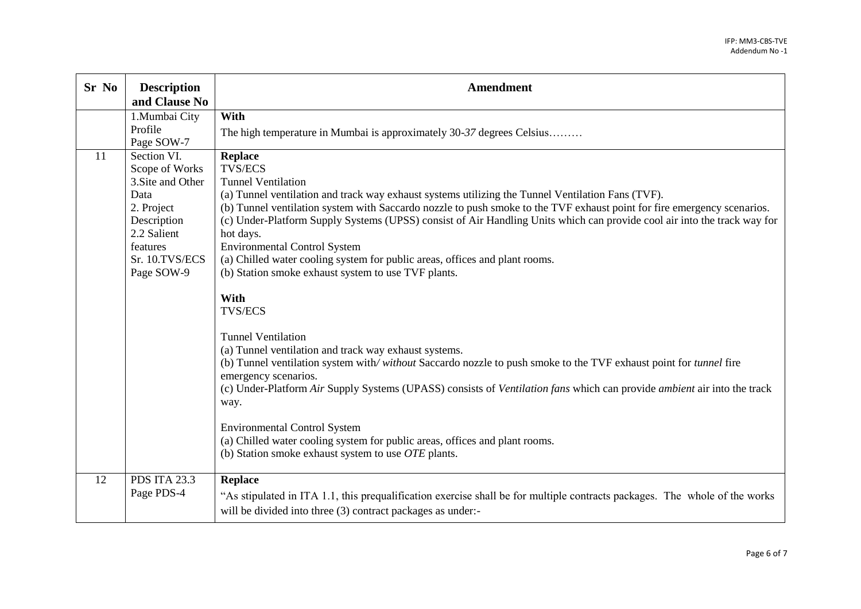| Sr No | <b>Description</b><br>and Clause No                                                                                                                | Amendment                                                                                                                                                                                                                                                                                                                                                                                                                                                                                                                                                                                                                                                                                                                                                                                                                                                                                                                                                                                                                                                                                                                                                                                          |
|-------|----------------------------------------------------------------------------------------------------------------------------------------------------|----------------------------------------------------------------------------------------------------------------------------------------------------------------------------------------------------------------------------------------------------------------------------------------------------------------------------------------------------------------------------------------------------------------------------------------------------------------------------------------------------------------------------------------------------------------------------------------------------------------------------------------------------------------------------------------------------------------------------------------------------------------------------------------------------------------------------------------------------------------------------------------------------------------------------------------------------------------------------------------------------------------------------------------------------------------------------------------------------------------------------------------------------------------------------------------------------|
|       | 1.Mumbai City<br>Profile<br>Page SOW-7                                                                                                             | With<br>The high temperature in Mumbai is approximately 30-37 degrees Celsius                                                                                                                                                                                                                                                                                                                                                                                                                                                                                                                                                                                                                                                                                                                                                                                                                                                                                                                                                                                                                                                                                                                      |
| 11    | Section VI.<br>Scope of Works<br>3. Site and Other<br>Data<br>2. Project<br>Description<br>2.2 Salient<br>features<br>Sr. 10.TVS/ECS<br>Page SOW-9 | <b>Replace</b><br><b>TVS/ECS</b><br><b>Tunnel Ventilation</b><br>(a) Tunnel ventilation and track way exhaust systems utilizing the Tunnel Ventilation Fans (TVF).<br>(b) Tunnel ventilation system with Saccardo nozzle to push smoke to the TVF exhaust point for fire emergency scenarios.<br>(c) Under-Platform Supply Systems (UPSS) consist of Air Handling Units which can provide cool air into the track way for<br>hot days.<br><b>Environmental Control System</b><br>(a) Chilled water cooling system for public areas, offices and plant rooms.<br>(b) Station smoke exhaust system to use TVF plants.<br>With<br><b>TVS/ECS</b><br><b>Tunnel Ventilation</b><br>(a) Tunnel ventilation and track way exhaust systems.<br>(b) Tunnel ventilation system with/without Saccardo nozzle to push smoke to the TVF exhaust point for tunnel fire<br>emergency scenarios.<br>(c) Under-Platform Air Supply Systems (UPASS) consists of Ventilation fans which can provide ambient air into the track<br>way.<br><b>Environmental Control System</b><br>(a) Chilled water cooling system for public areas, offices and plant rooms.<br>(b) Station smoke exhaust system to use $OTE$ plants. |
| 12    | <b>PDS ITA 23.3</b><br>Page PDS-4                                                                                                                  | <b>Replace</b><br>"As stipulated in ITA 1.1, this prequalification exercise shall be for multiple contracts packages. The whole of the works<br>will be divided into three (3) contract packages as under:-                                                                                                                                                                                                                                                                                                                                                                                                                                                                                                                                                                                                                                                                                                                                                                                                                                                                                                                                                                                        |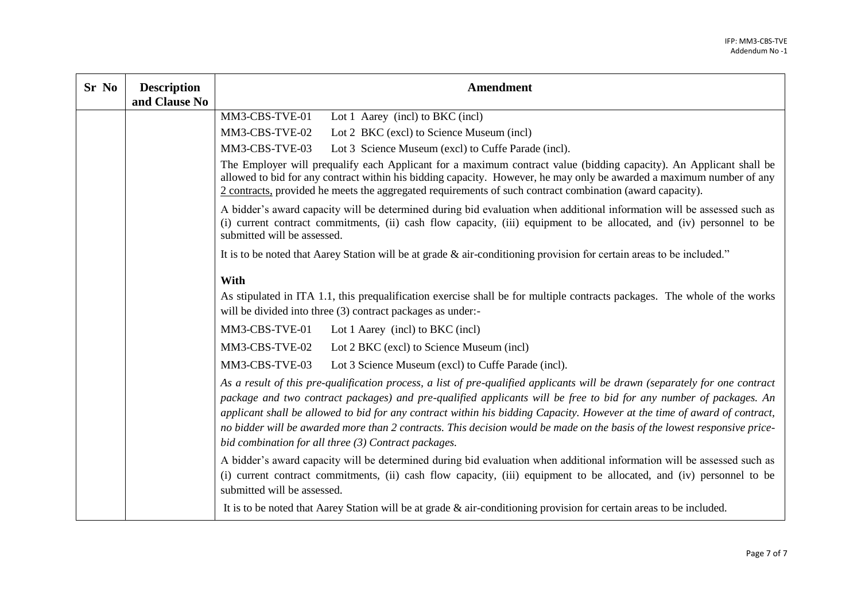| Sr No | <b>Description</b><br>and Clause No | <b>Amendment</b>                                                                                                                                                                                                                                                                                                                                                                                                                                                                                                                                                     |
|-------|-------------------------------------|----------------------------------------------------------------------------------------------------------------------------------------------------------------------------------------------------------------------------------------------------------------------------------------------------------------------------------------------------------------------------------------------------------------------------------------------------------------------------------------------------------------------------------------------------------------------|
|       |                                     | MM3-CBS-TVE-01<br>Lot 1 Aarey (incl) to BKC (incl)                                                                                                                                                                                                                                                                                                                                                                                                                                                                                                                   |
|       |                                     | MM3-CBS-TVE-02<br>Lot 2 BKC (excl) to Science Museum (incl)                                                                                                                                                                                                                                                                                                                                                                                                                                                                                                          |
|       |                                     | MM3-CBS-TVE-03<br>Lot 3 Science Museum (excl) to Cuffe Parade (incl).                                                                                                                                                                                                                                                                                                                                                                                                                                                                                                |
|       |                                     | The Employer will prequalify each Applicant for a maximum contract value (bidding capacity). An Applicant shall be<br>allowed to bid for any contract within his bidding capacity. However, he may only be awarded a maximum number of any<br>2 contracts, provided he meets the aggregated requirements of such contract combination (award capacity).                                                                                                                                                                                                              |
|       |                                     | A bidder's award capacity will be determined during bid evaluation when additional information will be assessed such as<br>(i) current contract commitments, (ii) cash flow capacity, (iii) equipment to be allocated, and (iv) personnel to be<br>submitted will be assessed.                                                                                                                                                                                                                                                                                       |
|       |                                     | It is to be noted that Aarey Station will be at grade $\&$ air-conditioning provision for certain areas to be included."                                                                                                                                                                                                                                                                                                                                                                                                                                             |
|       |                                     | With                                                                                                                                                                                                                                                                                                                                                                                                                                                                                                                                                                 |
|       |                                     | As stipulated in ITA 1.1, this prequalification exercise shall be for multiple contracts packages. The whole of the works<br>will be divided into three (3) contract packages as under:-                                                                                                                                                                                                                                                                                                                                                                             |
|       |                                     | MM3-CBS-TVE-01<br>Lot 1 Aarey (incl) to BKC (incl)                                                                                                                                                                                                                                                                                                                                                                                                                                                                                                                   |
|       |                                     | MM3-CBS-TVE-02<br>Lot 2 BKC (excl) to Science Museum (incl)                                                                                                                                                                                                                                                                                                                                                                                                                                                                                                          |
|       |                                     | MM3-CBS-TVE-03<br>Lot 3 Science Museum (excl) to Cuffe Parade (incl).                                                                                                                                                                                                                                                                                                                                                                                                                                                                                                |
|       |                                     | As a result of this pre-qualification process, a list of pre-qualified applicants will be drawn (separately for one contract<br>package and two contract packages) and pre-qualified applicants will be free to bid for any number of packages. An<br>applicant shall be allowed to bid for any contract within his bidding Capacity. However at the time of award of contract,<br>no bidder will be awarded more than 2 contracts. This decision would be made on the basis of the lowest responsive price-<br>bid combination for all three (3) Contract packages. |
|       |                                     | A bidder's award capacity will be determined during bid evaluation when additional information will be assessed such as<br>(i) current contract commitments, (ii) cash flow capacity, (iii) equipment to be allocated, and (iv) personnel to be<br>submitted will be assessed.<br>It is to be noted that Aarey Station will be at grade $\&$ air-conditioning provision for certain areas to be included.                                                                                                                                                            |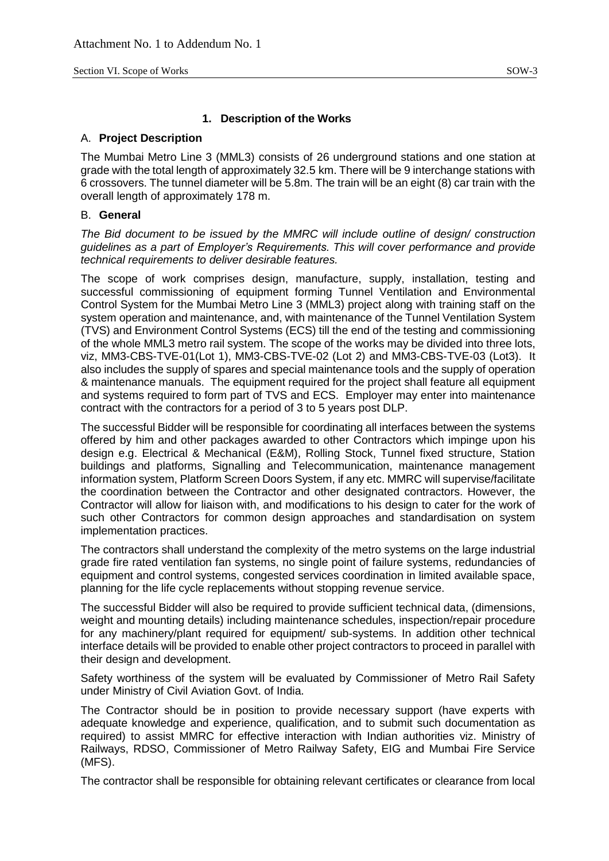#### **1. Description of the Works**

#### A. **Project Description**

The Mumbai Metro Line 3 (MML3) consists of 26 underground stations and one station at grade with the total length of approximately 32.5 km. There will be 9 interchange stations with 6 crossovers. The tunnel diameter will be 5.8m. The train will be an eight (8) car train with the overall length of approximately 178 m.

#### B. **General**

*The Bid document to be issued by the MMRC will include outline of design/ construction guidelines as a part of Employer's Requirements. This will cover performance and provide technical requirements to deliver desirable features.*

The scope of work comprises design, manufacture, supply, installation, testing and successful commissioning of equipment forming Tunnel Ventilation and Environmental Control System for the Mumbai Metro Line 3 (MML3) project along with training staff on the system operation and maintenance, and, with maintenance of the Tunnel Ventilation System (TVS) and Environment Control Systems (ECS) till the end of the testing and commissioning of the whole MML3 metro rail system. The scope of the works may be divided into three lots, viz, MM3-CBS-TVE-01(Lot 1), MM3-CBS-TVE-02 (Lot 2) and MM3-CBS-TVE-03 (Lot3). It also includes the supply of spares and special maintenance tools and the supply of operation & maintenance manuals. The equipment required for the project shall feature all equipment and systems required to form part of TVS and ECS. Employer may enter into maintenance contract with the contractors for a period of 3 to 5 years post DLP.

The successful Bidder will be responsible for coordinating all interfaces between the systems offered by him and other packages awarded to other Contractors which impinge upon his design e.g. Electrical & Mechanical (E&M), Rolling Stock, Tunnel fixed structure, Station buildings and platforms, Signalling and Telecommunication, maintenance management information system, Platform Screen Doors System, if any etc. MMRC will supervise/facilitate the coordination between the Contractor and other designated contractors. However, the Contractor will allow for liaison with, and modifications to his design to cater for the work of such other Contractors for common design approaches and standardisation on system implementation practices.

The contractors shall understand the complexity of the metro systems on the large industrial grade fire rated ventilation fan systems, no single point of failure systems, redundancies of equipment and control systems, congested services coordination in limited available space, planning for the life cycle replacements without stopping revenue service.

The successful Bidder will also be required to provide sufficient technical data, (dimensions, weight and mounting details) including maintenance schedules, inspection/repair procedure for any machinery/plant required for equipment/ sub-systems. In addition other technical interface details will be provided to enable other project contractors to proceed in parallel with their design and development.

Safety worthiness of the system will be evaluated by Commissioner of Metro Rail Safety under Ministry of Civil Aviation Govt. of India.

The Contractor should be in position to provide necessary support (have experts with adequate knowledge and experience, qualification, and to submit such documentation as required) to assist MMRC for effective interaction with Indian authorities viz. Ministry of Railways, RDSO, Commissioner of Metro Railway Safety, EIG and Mumbai Fire Service (MFS).

The contractor shall be responsible for obtaining relevant certificates or clearance from local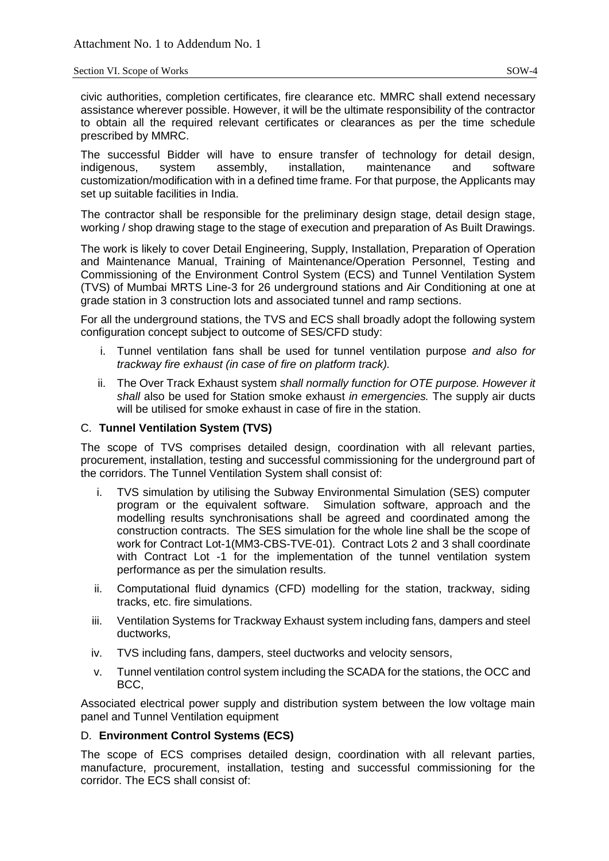#### Section VI. Scope of Works SOW-4

civic authorities, completion certificates, fire clearance etc. MMRC shall extend necessary assistance wherever possible. However, it will be the ultimate responsibility of the contractor to obtain all the required relevant certificates or clearances as per the time schedule prescribed by MMRC.

The successful Bidder will have to ensure transfer of technology for detail design, indigenous, system assembly, installation, maintenance and software customization/modification with in a defined time frame. For that purpose, the Applicants may set up suitable facilities in India.

The contractor shall be responsible for the preliminary design stage, detail design stage, working / shop drawing stage to the stage of execution and preparation of As Built Drawings.

The work is likely to cover Detail Engineering, Supply, Installation, Preparation of Operation and Maintenance Manual, Training of Maintenance/Operation Personnel, Testing and Commissioning of the Environment Control System (ECS) and Tunnel Ventilation System (TVS) of Mumbai MRTS Line-3 for 26 underground stations and Air Conditioning at one at grade station in 3 construction lots and associated tunnel and ramp sections.

For all the underground stations, the TVS and ECS shall broadly adopt the following system configuration concept subject to outcome of SES/CFD study:

- i. Tunnel ventilation fans shall be used for tunnel ventilation purpose *and also for trackway fire exhaust (in case of fire on platform track).*
- ii. The Over Track Exhaust system *shall normally function for OTE purpose. However it shall* also be used for Station smoke exhaust *in emergencies.* The supply air ducts will be utilised for smoke exhaust in case of fire in the station.

### C. **Tunnel Ventilation System (TVS)**

The scope of TVS comprises detailed design, coordination with all relevant parties, procurement, installation, testing and successful commissioning for the underground part of the corridors. The Tunnel Ventilation System shall consist of:

- i. TVS simulation by utilising the Subway Environmental Simulation (SES) computer program or the equivalent software. Simulation software, approach and the modelling results synchronisations shall be agreed and coordinated among the construction contracts. The SES simulation for the whole line shall be the scope of work for Contract Lot-1(MM3-CBS-TVE-01). Contract Lots 2 and 3 shall coordinate with Contract Lot -1 for the implementation of the tunnel ventilation system performance as per the simulation results.
- ii. Computational fluid dynamics (CFD) modelling for the station, trackway, siding tracks, etc. fire simulations.
- iii. Ventilation Systems for Trackway Exhaust system including fans, dampers and steel ductworks,
- iv. TVS including fans, dampers, steel ductworks and velocity sensors,
- v. Tunnel ventilation control system including the SCADA for the stations, the OCC and BCC,

Associated electrical power supply and distribution system between the low voltage main panel and Tunnel Ventilation equipment

## D. **Environment Control Systems (ECS)**

The scope of ECS comprises detailed design, coordination with all relevant parties, manufacture, procurement, installation, testing and successful commissioning for the corridor. The ECS shall consist of: